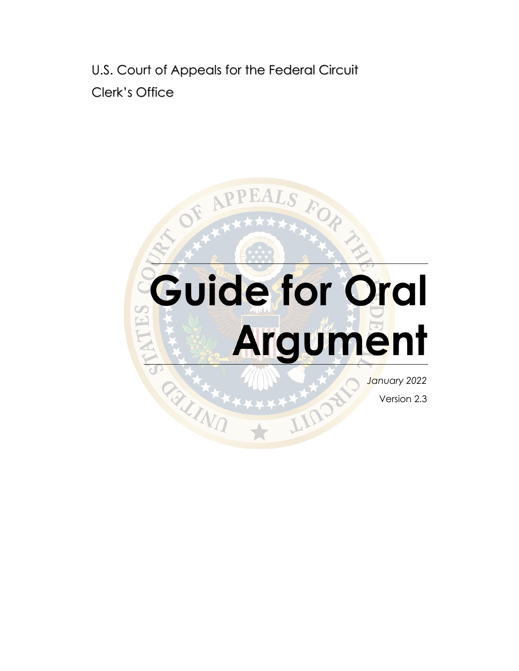U.S. Court of Appeals for the Federal Circuit Clerk's Office

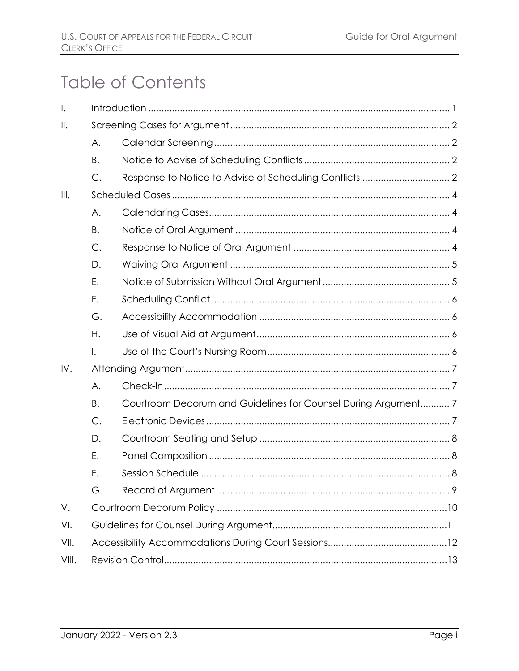# **Table of Contents**

| $\mathsf{I}$ . |           |                                                               |  |
|----------------|-----------|---------------------------------------------------------------|--|
| $\mathbb{I}$ . |           |                                                               |  |
|                | Α.        |                                                               |  |
|                | <b>B.</b> |                                                               |  |
|                | C.        |                                                               |  |
| III.           |           |                                                               |  |
|                | A.        |                                                               |  |
|                | B.        |                                                               |  |
|                | C.        |                                                               |  |
|                | D.        |                                                               |  |
|                | Ε.        |                                                               |  |
|                | F.        |                                                               |  |
|                | G.        |                                                               |  |
|                | Η.        |                                                               |  |
|                | Ι.        |                                                               |  |
| IV.            |           |                                                               |  |
|                | A.        |                                                               |  |
|                | Β.        | Courtroom Decorum and Guidelines for Counsel During Argument7 |  |
|                | C.        |                                                               |  |
|                | D.        |                                                               |  |
|                | Ε.        |                                                               |  |
|                | F.        |                                                               |  |
|                | G.        |                                                               |  |
| V.             |           |                                                               |  |
| VI.            |           |                                                               |  |
| VII.           |           |                                                               |  |
| VIII.          |           |                                                               |  |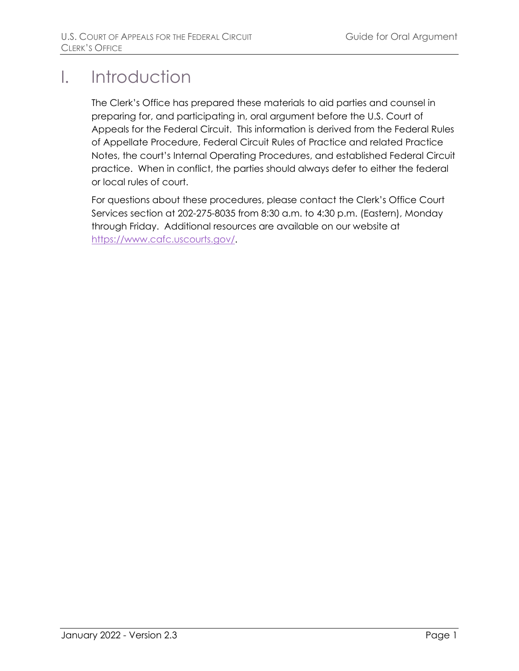## <span id="page-2-0"></span>I. Introduction

The Clerk's Office has prepared these materials to aid parties and counsel in preparing for, and participating in, oral argument before the U.S. Court of Appeals for the Federal Circuit. This information is derived from the Federal Rules of Appellate Procedure, Federal Circuit Rules of Practice and related Practice Notes, the court's Internal Operating Procedures, and established Federal Circuit practice. When in conflict, the parties should always defer to either the federal or local rules of court.

For questions about these procedures, please contact the Clerk's Office Court Services section at 202-275-8035 from 8:30 a.m. to 4:30 p.m. (Eastern), Monday through Friday. Additional resources are available on our website at [https://www.cafc.uscourts.gov/.](https://cafc.uscourts.gov/)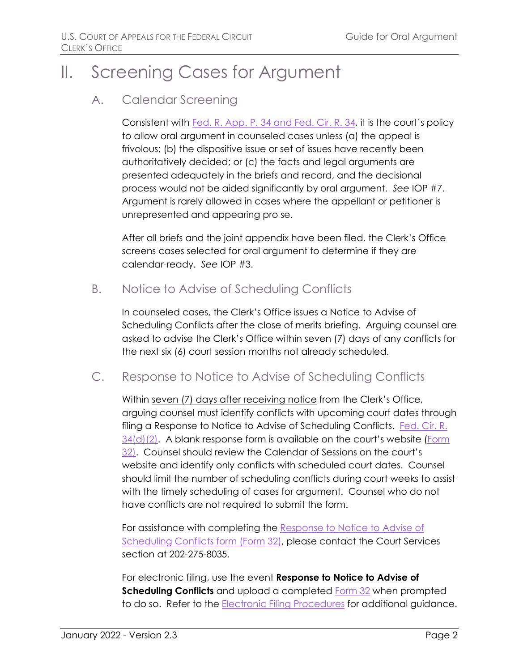## <span id="page-3-1"></span><span id="page-3-0"></span>II. Screening Cases for Argument

### A. Calendar Screening

Consistent with [Fed. R. App. P. 34 and Fed. Cir. R. 34,](https://cafc.uscourts.gov/wp-content/uploads/FederalCircuitRulesofPractice.pdf) it is the court's policy to allow oral argument in counseled cases unless (a) the appeal is frivolous; (b) the dispositive issue or set of issues have recently been authoritatively decided; or (c) the facts and legal arguments are presented adequately in the briefs and record, and the decisional process would not be aided significantly by oral argument. *See* IOP #7. Argument is rarely allowed in cases where the appellant or petitioner is unrepresented and appearing pro se.

After all briefs and the joint appendix have been filed, the Clerk's Office screens cases selected for oral argument to determine if they are calendar-ready. *See* IOP #3.

## <span id="page-3-2"></span>B. Notice to Advise of Scheduling Conflicts

In counseled cases, the Clerk's Office issues a Notice to Advise of Scheduling Conflicts after the close of merits briefing. Arguing counsel are asked to advise the Clerk's Office within seven (7) days of any conflicts for the next six (6) court session months not already scheduled.

## <span id="page-3-3"></span>C. Response to Notice to Advise of Scheduling Conflicts

Within seven (7) days after receiving notice from the Clerk's Office, arguing counsel must identify conflicts with upcoming court dates through filing a Response to Notice to Advise of Scheduling Conflicts. [Fed. Cir. R.](https://cafc.uscourts.gov/wp-content/uploads/FederalCircuitRulesofPractice.pdf)  [34\(d\)\(2\).](https://cafc.uscourts.gov/wp-content/uploads/FederalCircuitRulesofPractice.pdf) A blank response form is available on the court's website [\(Form](https://cafc.uscourts.gov/wp-content/uploads/form32.pdf)  [32\)](https://cafc.uscourts.gov/wp-content/uploads/form32.pdf). Counsel should review the Calendar of Sessions on the court's website and identify only conflicts with scheduled court dates. Counsel should limit the number of scheduling conflicts during court weeks to assist with the timely scheduling of cases for argument. Counsel who do not have conflicts are not required to submit the form.

For assistance with completing the [Response to Notice to Advise of](https://cafc.uscourts.gov/wp-content/uploads/form32.pdf)  [Scheduling Conflicts form \(Form 32\),](https://cafc.uscourts.gov/wp-content/uploads/form32.pdf) please contact the Court Services section at 202-275-8035.

For electronic filing, use the event **Response to Notice to Advise of Scheduling Conflicts** and upload a completed **Form 32** when prompted to do so. Refer to the **Electronic Filing Procedures** for additional guidance.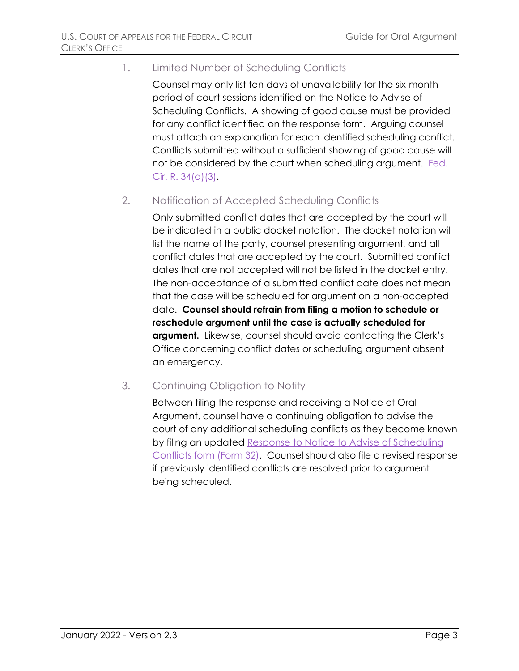#### 1. Limited Number of Scheduling Conflicts

Counsel may only list ten days of unavailability for the six-month period of court sessions identified on the Notice to Advise of Scheduling Conflicts. A showing of good cause must be provided for any conflict identified on the response form. Arguing counsel must attach an explanation for each identified scheduling conflict. Conflicts submitted without a sufficient showing of good cause will not be considered by the court when scheduling argument. Fed. [Cir. R. 34\(d\)\(3\).](https://cafc.uscourts.gov/wp-content/uploads/FederalCircuitRulesofPractice.pdf)

#### 2. Notification of Accepted Scheduling Conflicts

Only submitted conflict dates that are accepted by the court will be indicated in a public docket notation. The docket notation will list the name of the party, counsel presenting argument, and all conflict dates that are accepted by the court. Submitted conflict dates that are not accepted will not be listed in the docket entry. The non-acceptance of a submitted conflict date does not mean that the case will be scheduled for argument on a non-accepted date. **Counsel should refrain from filing a motion to schedule or reschedule argument until the case is actually scheduled for argument.** Likewise, counsel should avoid contacting the Clerk's Office concerning conflict dates or scheduling argument absent an emergency.

#### 3. Continuing Obligation to Notify

Between filing the response and receiving a Notice of Oral Argument, counsel have a continuing obligation to advise the court of any additional scheduling conflicts as they become known by filing an updated [Response to Notice to Advise of Scheduling](https://cafc.uscourts.gov/wp-content/uploads/form32.pdf)  [Conflicts form \(Form 32\).](https://cafc.uscourts.gov/wp-content/uploads/form32.pdf) Counsel should also file a revised response if previously identified conflicts are resolved prior to argument being scheduled.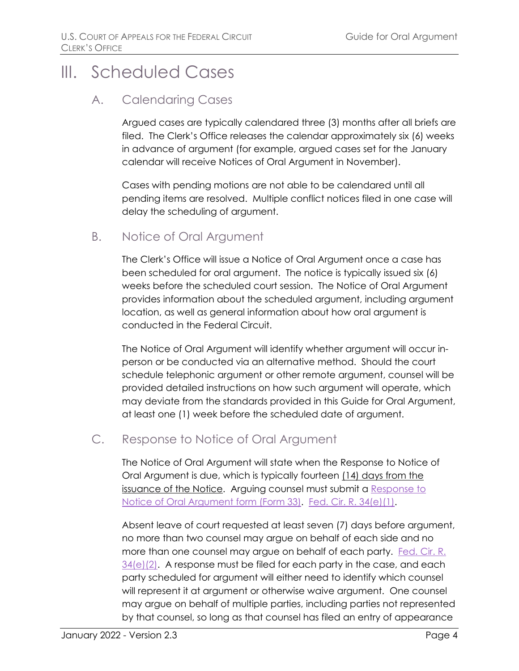## <span id="page-5-1"></span><span id="page-5-0"></span>III. Scheduled Cases

### A. Calendaring Cases

Argued cases are typically calendared three (3) months after all briefs are filed. The Clerk's Office releases the calendar approximately six (6) weeks in advance of argument (for example, argued cases set for the January calendar will receive Notices of Oral Argument in November).

Cases with pending motions are not able to be calendared until all pending items are resolved. Multiple conflict notices filed in one case will delay the scheduling of argument.

## <span id="page-5-2"></span>B. Notice of Oral Argument

The Clerk's Office will issue a Notice of Oral Argument once a case has been scheduled for oral argument. The notice is typically issued six (6) weeks before the scheduled court session. The Notice of Oral Argument provides information about the scheduled argument, including argument location, as well as general information about how oral argument is conducted in the Federal Circuit.

The Notice of Oral Argument will identify whether argument will occur inperson or be conducted via an alternative method. Should the court schedule telephonic argument or other remote argument, counsel will be provided detailed instructions on how such argument will operate, which may deviate from the standards provided in this Guide for Oral Argument, at least one (1) week before the scheduled date of argument.

## <span id="page-5-3"></span>C. Response to Notice of Oral Argument

The Notice of Oral Argument will state when the Response to Notice of Oral Argument is due, which is typically fourteen (14) days from the issuance of the Notice. Arguing counsel must submit a Response to [Notice of Oral Argument form \(Form 33\).](https://cafc.uscourts.gov/wp-content/uploads/form33.pdf) [Fed. Cir. R. 34\(e\)\(1\).](https://cafc.uscourts.gov/wp-content/uploads/FederalCircuitRulesofPractice.pdf)

Absent leave of court requested at least seven (7) days before argument, no more than two counsel may argue on behalf of each side and no more than one counsel may argue on behalf of each party. [Fed. Cir. R.](https://cafc.uscourts.gov/wp-content/uploads/FederalCircuitRulesofPractice.pdf)   $34(e)(2)$ . A response must be filed for each party in the case, and each party scheduled for argument will either need to identify which counsel will represent it at argument or otherwise waive argument. One counsel may argue on behalf of multiple parties, including parties not represented by that counsel, so long as that counsel has filed an entry of appearance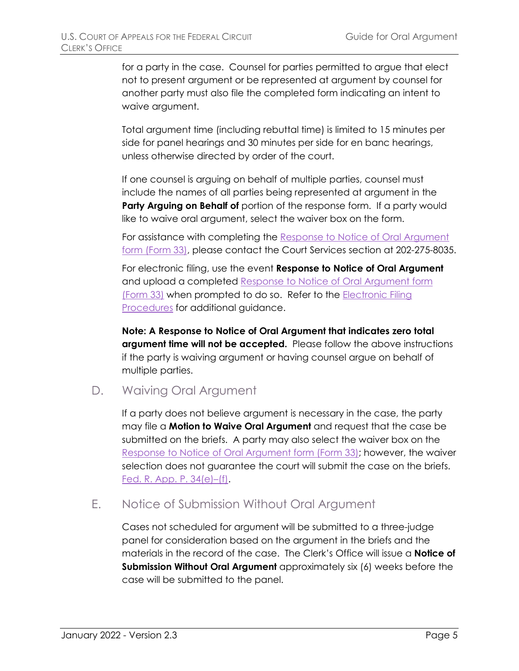for a party in the case. Counsel for parties permitted to argue that elect not to present argument or be represented at argument by counsel for another party must also file the completed form indicating an intent to waive argument.

Total argument time (including rebuttal time) is limited to 15 minutes per side for panel hearings and 30 minutes per side for en banc hearings, unless otherwise directed by order of the court.

If one counsel is arguing on behalf of multiple parties, counsel must include the names of all parties being represented at argument in the **Party Arguing on Behalf of portion of the response form. If a party would** like to waive oral argument, select the waiver box on the form.

For assistance with completing the [Response to Notice of Oral Argument](https://cafc.uscourts.gov/wp-content/uploads/form33.pdf)  [form \(Form 33\),](https://cafc.uscourts.gov/wp-content/uploads/form33.pdf) please contact the Court Services section at 202-275-8035.

For electronic filing, use the event **Response to Notice of Oral Argument** and upload a completed Response to Notice of Oral Argument form [\(Form 33\)](https://cafc.uscourts.gov/wp-content/uploads/form33.pdf) when prompted to do so. Refer to the [Electronic Filing](https://cafc.uscourts.gov/wp-content/uploads/ElectronicFilingProcedures.pdf)  [Procedures](https://cafc.uscourts.gov/wp-content/uploads/ElectronicFilingProcedures.pdf) for additional guidance.

**Note: A Response to Notice of Oral Argument that indicates zero total argument time will not be accepted.** Please follow the above instructions if the party is waiving argument or having counsel argue on behalf of multiple parties.

<span id="page-6-0"></span>D. Waiving Oral Argument

If a party does not believe argument is necessary in the case, the party may file a **Motion to Waive Oral Argument** and request that the case be submitted on the briefs. A party may also select the waiver box on the [Response to Notice of Oral Argument](https://cafc.uscourts.gov/wp-content/uploads/form33.pdf) form (Form 33); however, the waiver selection does not guarantee the court will submit the case on the briefs. [Fed. R. App. P. 34\(e\)–\(f\).](https://cafc.uscourts.gov/wp-content/uploads/FederalCircuitRulesofPractice.pdf)

## <span id="page-6-1"></span>E. Notice of Submission Without Oral Argument

Cases not scheduled for argument will be submitted to a three-judge panel for consideration based on the argument in the briefs and the materials in the record of the case. The Clerk's Office will issue a **Notice of Submission Without Oral Argument** approximately six (6) weeks before the case will be submitted to the panel.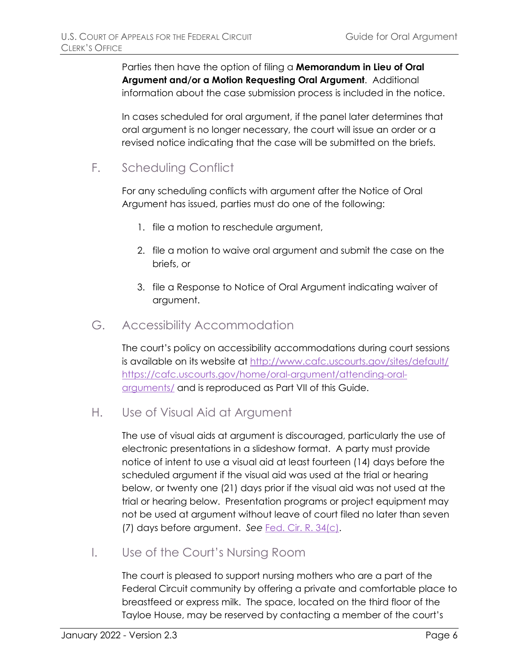Parties then have the option of filing a **Memorandum in Lieu of Oral Argument and/or a Motion Requesting Oral Argument**. Additional information about the case submission process is included in the notice.

In cases scheduled for oral argument, if the panel later determines that oral argument is no longer necessary, the court will issue an order or a revised notice indicating that the case will be submitted on the briefs.

<span id="page-7-0"></span>F. Scheduling Conflict

For any scheduling conflicts with argument after the Notice of Oral Argument has issued, parties must do one of the following:

- 1. file a motion to reschedule argument,
- 2. file a motion to waive oral argument and submit the case on the briefs, or
- 3. file a Response to Notice of Oral Argument indicating waiver of argument.
- <span id="page-7-1"></span>G. Accessibility Accommodation

The court's policy on accessibility accommodations during court sessions is available on its website at [http://www.cafc.uscourts.gov/sites/default/](https://cafc.uscourts.gov/home/oral-argument/attending-oral-arguments/) [https://cafc.uscourts.gov/home/oral-argument/attending-oral](http://www.cafc.uscourts.gov/sites/default/files/arguments/AccommodationNotice.pdf)[arguments/](http://www.cafc.uscourts.gov/sites/default/files/arguments/AccommodationNotice.pdf) and is reproduced as Part [VII](#page-13-0) of this Guide.

<span id="page-7-2"></span>H. Use of Visual Aid at Argument

The use of visual aids at argument is discouraged, particularly the use of electronic presentations in a slideshow format. A party must provide notice of intent to use a visual aid at least fourteen (14) days before the scheduled argument if the visual aid was used at the trial or hearing below, or twenty one (21) days prior if the visual aid was not used at the trial or hearing below. Presentation programs or project equipment may not be used at argument without leave of court filed no later than seven (7) days before argument. *See* Fed. Cir. R. [34\(c\).](https://cafc.uscourts.gov/wp-content/uploads/FederalCircuitRulesofPractice.pdf)

<span id="page-7-3"></span>I. Use of the Court's Nursing Room

The court is pleased to support nursing mothers who are a part of the Federal Circuit community by offering a private and comfortable place to breastfeed or express milk. The space, located on the third floor of the Tayloe House, may be reserved by contacting a member of the court's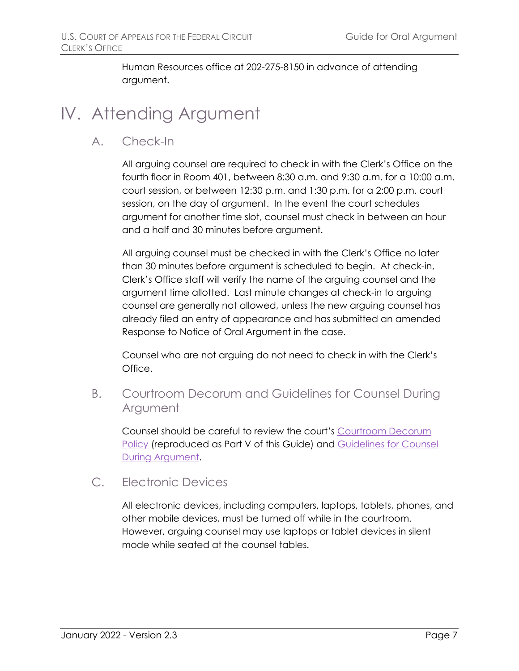Human Resources office at 202-275-8150 in advance of attending argument.

## <span id="page-8-1"></span><span id="page-8-0"></span>IV. Attending Argument

A. Check-In

All arguing counsel are required to check in with the Clerk's Office on the fourth floor in Room 401, between 8:30 a.m. and 9:30 a.m. for a 10:00 a.m. court session, or between 12:30 p.m. and 1:30 p.m. for a 2:00 p.m. court session, on the day of argument. In the event the court schedules argument for another time slot, counsel must check in between an hour and a half and 30 minutes before argument.

All arguing counsel must be checked in with the Clerk's Office no later than 30 minutes before argument is scheduled to begin. At check-in, Clerk's Office staff will verify the name of the arguing counsel and the argument time allotted. Last minute changes at check-in to arguing counsel are generally not allowed, unless the new arguing counsel has already filed an entry of appearance and has submitted an amended Response to Notice of Oral Argument in the case.

Counsel who are not arguing do not need to check in with the Clerk's Office.

<span id="page-8-2"></span>B. Courtroom Decorum and Guidelines for Counsel During Argument

Counsel should be careful to review the court's [Courtroom Decorum](#page-11-0)  [Policy](#page-11-0) (reproduced as Part V of this Guide) and [Guidelines for Counsel](#page-12-0)  [During Argument.](#page-12-0)

<span id="page-8-3"></span>C. Electronic Devices

All electronic devices, including computers, laptops, tablets, phones, and other mobile devices, must be turned off while in the courtroom. However, arguing counsel may use laptops or tablet devices in silent mode while seated at the counsel tables.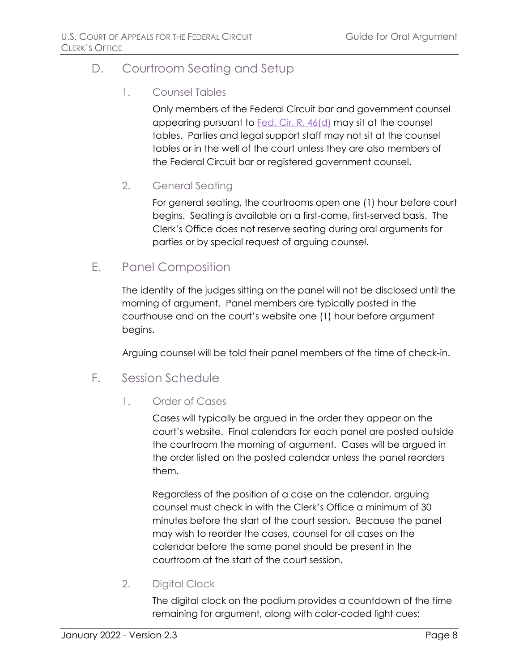## <span id="page-9-0"></span>D. Courtroom Seating and Setup

#### 1. Counsel Tables

Only members of the Federal Circuit bar and government counsel appearing pursuant to [Fed. Cir. R. 46\(d\)](https://cafc.uscourts.gov/wp-content/uploads/FederalCircuitRulesofPractice.pdf) may sit at the counsel tables. Parties and legal support staff may not sit at the counsel tables or in the well of the court unless they are also members of the Federal Circuit bar or registered government counsel.

#### 2. General Seating

For general seating, the courtrooms open one (1) hour before court begins. Seating is available on a first-come, first-served basis. The Clerk's Office does not reserve seating during oral arguments for parties or by special request of arguing counsel.

## <span id="page-9-1"></span>E. Panel Composition

The identity of the judges sitting on the panel will not be disclosed until the morning of argument. Panel members are typically posted in the courthouse and on the court's website one (1) hour before argument begins.

Arguing counsel will be told their panel members at the time of check-in.

- <span id="page-9-2"></span>F. Session Schedule
	- 1. Order of Cases

Cases will typically be argued in the order they appear on the court's website. Final calendars for each panel are posted outside the courtroom the morning of argument. Cases will be argued in the order listed on the posted calendar unless the panel reorders them.

Regardless of the position of a case on the calendar, arguing counsel must check in with the Clerk's Office a minimum of 30 minutes before the start of the court session. Because the panel may wish to reorder the cases, counsel for all cases on the calendar before the same panel should be present in the courtroom at the start of the court session.

2. Digital Clock

The digital clock on the podium provides a countdown of the time remaining for argument, along with color-coded light cues: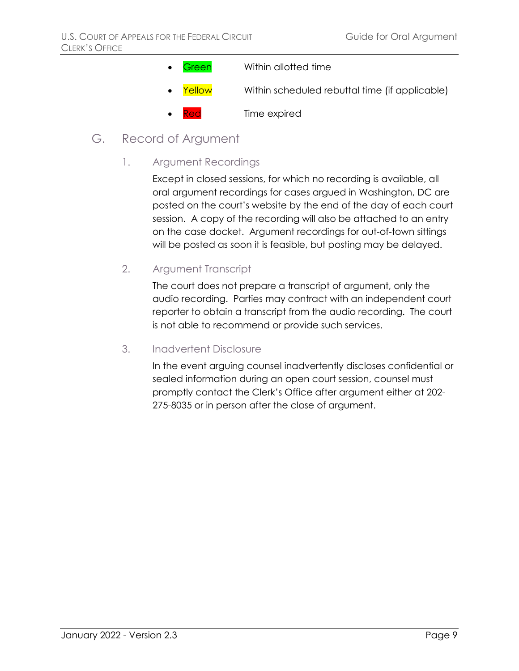- **Green** Within allotted time **Yellow** Within scheduled rebuttal time (if applicable) Time expired
- <span id="page-10-0"></span>G. Record of Argument
	- 1. Argument Recordings

Except in closed sessions, for which no recording is available, all oral argument recordings for cases argued in Washington, DC are posted on the court's website by the end of the day of each court session. A copy of the recording will also be attached to an entry on the case docket. Argument recordings for out-of-town sittings will be posted as soon it is feasible, but posting may be delayed.

2. Argument Transcript

The court does not prepare a transcript of argument, only the audio recording. Parties may contract with an independent court reporter to obtain a transcript from the audio recording. The court is not able to recommend or provide such services.

#### 3. Inadvertent Disclosure

In the event arguing counsel inadvertently discloses confidential or sealed information during an open court session, counsel must promptly contact the Clerk's Office after argument either at 202- 275-8035 or in person after the close of argument.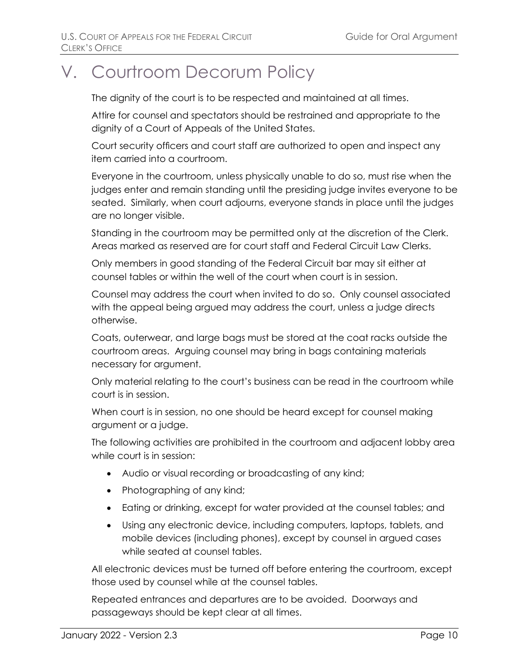# <span id="page-11-0"></span>V. Courtroom Decorum Policy

The dignity of the court is to be respected and maintained at all times.

Attire for counsel and spectators should be restrained and appropriate to the dignity of a Court of Appeals of the United States.

Court security officers and court staff are authorized to open and inspect any item carried into a courtroom.

Everyone in the courtroom, unless physically unable to do so, must rise when the judges enter and remain standing until the presiding judge invites everyone to be seated. Similarly, when court adjourns, everyone stands in place until the judges are no longer visible.

Standing in the courtroom may be permitted only at the discretion of the Clerk. Areas marked as reserved are for court staff and Federal Circuit Law Clerks.

Only members in good standing of the Federal Circuit bar may sit either at counsel tables or within the well of the court when court is in session.

Counsel may address the court when invited to do so. Only counsel associated with the appeal being argued may address the court, unless a judge directs otherwise.

Coats, outerwear, and large bags must be stored at the coat racks outside the courtroom areas. Arguing counsel may bring in bags containing materials necessary for argument.

Only material relating to the court's business can be read in the courtroom while court is in session.

When court is in session, no one should be heard except for counsel making argument or a judge.

The following activities are prohibited in the courtroom and adjacent lobby area while court is in session:

- Audio or visual recording or broadcasting of any kind;
- Photographing of any kind;
- Eating or drinking, except for water provided at the counsel tables; and
- Using any electronic device, including computers, laptops, tablets, and mobile devices (including phones), except by counsel in argued cases while seated at counsel tables.

All electronic devices must be turned off before entering the courtroom, except those used by counsel while at the counsel tables.

Repeated entrances and departures are to be avoided. Doorways and passageways should be kept clear at all times.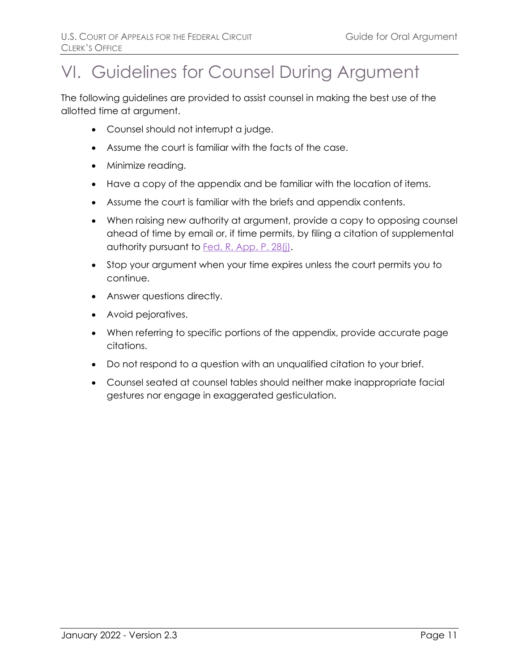# <span id="page-12-0"></span>VI. Guidelines for Counsel During Argument

The following guidelines are provided to assist counsel in making the best use of the allotted time at argument.

- Counsel should not interrupt a judge.
- Assume the court is familiar with the facts of the case.
- Minimize reading.
- Have a copy of the appendix and be familiar with the location of items.
- Assume the court is familiar with the briefs and appendix contents.
- When raising new authority at argument, provide a copy to opposing counsel ahead of time by email or, if time permits, by filing a citation of supplemental authority pursuant to **Fed. R. App. P. 28(j)**.
- Stop your argument when your time expires unless the court permits you to continue.
- Answer questions directly.
- Avoid pejoratives.
- When referring to specific portions of the appendix, provide accurate page citations.
- Do not respond to a question with an unqualified citation to your brief.
- Counsel seated at counsel tables should neither make inappropriate facial gestures nor engage in exaggerated gesticulation.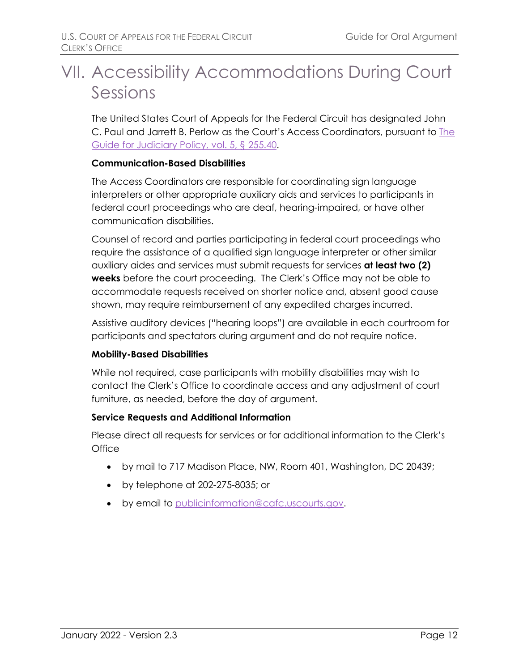# <span id="page-13-0"></span>VII. Accessibility Accommodations During Court Sessions

The United States Court of Appeals for the Federal Circuit has designated John C. Paul and Jarrett B. Perlow as the Court's Access Coordinators, pursuant to [The](https://www.uscourts.gov/sites/default/files/guide_vol05.pdf)  [Guide for Judiciary Policy, vol. 5, § 255.40.](https://www.uscourts.gov/sites/default/files/guide_vol05.pdf)

#### **Communication-Based Disabilities**

The Access Coordinators are responsible for coordinating sign language interpreters or other appropriate auxiliary aids and services to participants in federal court proceedings who are deaf, hearing-impaired, or have other communication disabilities.

Counsel of record and parties participating in federal court proceedings who require the assistance of a qualified sign language interpreter or other similar auxiliary aides and services must submit requests for services **at least two (2) weeks** before the court proceeding. The Clerk's Office may not be able to accommodate requests received on shorter notice and, absent good cause shown, may require reimbursement of any expedited charges incurred.

Assistive auditory devices ("hearing loops") are available in each courtroom for participants and spectators during argument and do not require notice.

#### **Mobility-Based Disabilities**

While not required, case participants with mobility disabilities may wish to contact the Clerk's Office to coordinate access and any adjustment of court furniture, as needed, before the day of argument.

#### **Service Requests and Additional Information**

Please direct all requests for services or for additional information to the Clerk's **Office** 

- by mail to 717 Madison Place, NW, Room 401, Washington, DC 20439;
- by telephone at 202-275-8035; or
- by email to [publicinformation@cafc.uscourts.gov.](mailto:publicinformation@cafc.uscourts.gov)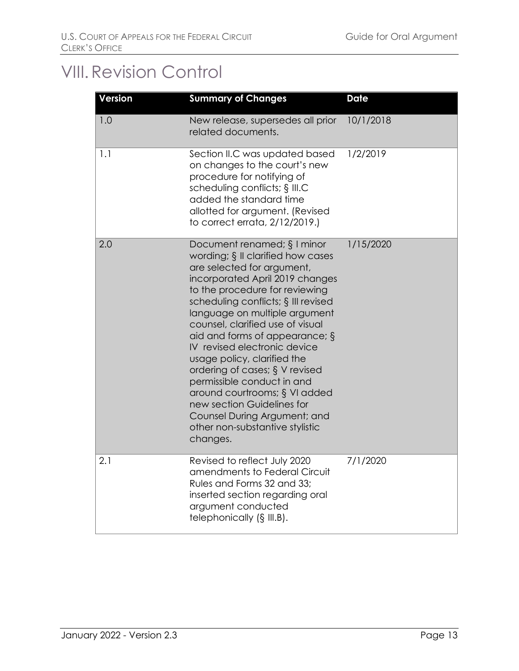## <span id="page-14-0"></span>VIII.Revision Control

| <b>Version</b> | <b>Summary of Changes</b>                                                                                                                                                                                                                                                                                                                                                                                                                                                                                                                                                                            | <b>Date</b> |
|----------------|------------------------------------------------------------------------------------------------------------------------------------------------------------------------------------------------------------------------------------------------------------------------------------------------------------------------------------------------------------------------------------------------------------------------------------------------------------------------------------------------------------------------------------------------------------------------------------------------------|-------------|
| 1.0            | New release, supersedes all prior<br>related documents.                                                                                                                                                                                                                                                                                                                                                                                                                                                                                                                                              | 10/1/2018   |
| 1.1            | Section II.C was updated based<br>on changes to the court's new<br>procedure for notifying of<br>scheduling conflicts; § III.C<br>added the standard time<br>allotted for argument. (Revised<br>to correct errata, 2/12/2019.)                                                                                                                                                                                                                                                                                                                                                                       | 1/2/2019    |
| 2.0            | Document renamed; $\S$ I minor<br>wording; § II clarified how cases<br>are selected for argument,<br>incorporated April 2019 changes<br>to the procedure for reviewing<br>scheduling conflicts; § III revised<br>language on multiple argument<br>counsel, clarified use of visual<br>aid and forms of appearance; $\S$<br>IV revised electronic device<br>usage policy, clarified the<br>ordering of cases; § V revised<br>permissible conduct in and<br>around courtrooms; § VI added<br>new section Guidelines for<br>Counsel During Argument; and<br>other non-substantive stylistic<br>changes. | 1/15/2020   |
| 2.1            | Revised to reflect July 2020<br>amendments to Federal Circuit<br>Rules and Forms 32 and 33;<br>inserted section regarding oral<br>argument conducted<br>telephonically (§ III.B).                                                                                                                                                                                                                                                                                                                                                                                                                    | 7/1/2020    |